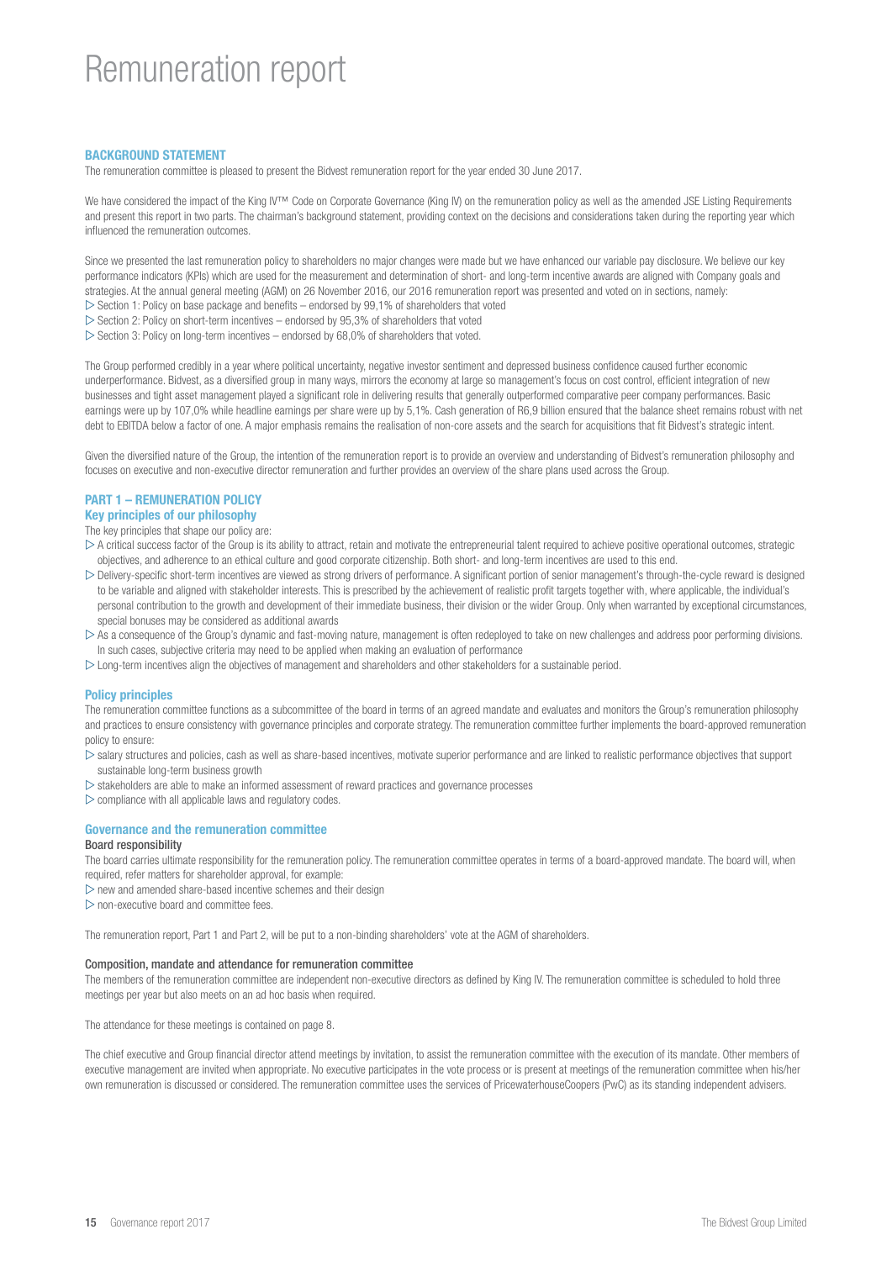# Remuneration report

## BACKGROUND STATEMENT

The remuneration committee is pleased to present the Bidvest remuneration report for the year ended 30 June 2017.

We have considered the impact of the King IV™ Code on Corporate Governance (King IV) on the remuneration policy as well as the amended JSE Listing Requirements and present this report in two parts. The chairman's background statement, providing context on the decisions and considerations taken during the reporting year which influenced the remuneration outcomes.

Since we presented the last remuneration policy to shareholders no major changes were made but we have enhanced our variable pay disclosure. We believe our key performance indicators (KPIs) which are used for the measurement and determination of short- and long-term incentive awards are aligned with Company goals and strategies. At the annual general meeting (AGM) on 26 November 2016, our 2016 remuneration report was presented and voted on in sections, namely:  $\triangleright$  Section 1: Policy on base package and benefits – endorsed by 99,1% of shareholders that voted

- $\triangleright$  Section 2: Policy on short-term incentives endorsed by 95,3% of shareholders that voted
- $\triangleright$  Section 3: Policy on long-term incentives endorsed by 68,0% of shareholders that voted.

The Group performed credibly in a year where political uncertainty, negative investor sentiment and depressed business confidence caused further economic underperformance. Bidvest, as a diversified group in many ways, mirrors the economy at large so management's focus on cost control, efficient integration of new businesses and tight asset management played a significant role in delivering results that generally outperformed comparative peer company performances. Basic earnings were up by 107,0% while headline earnings per share were up by 5,1%. Cash generation of R6,9 billion ensured that the balance sheet remains robust with net debt to EBITDA below a factor of one. A major emphasis remains the realisation of non-core assets and the search for acquisitions that fit Bidvest's strategic intent.

Given the diversified nature of the Group, the intention of the remuneration report is to provide an overview and understanding of Bidvest's remuneration philosophy and focuses on executive and non-executive director remuneration and further provides an overview of the share plans used across the Group.

## PART 1 – REMUNERATION POLICY

## Key principles of our philosophy

The key principles that shape our policy are:

- $\triangleright$  A critical success factor of the Group is its ability to attract, retain and motivate the entrepreneurial talent required to achieve positive operational outcomes, strategic objectives, and adherence to an ethical culture and good corporate citizenship. Both short- and long-term incentives are used to this end.
- $\triangleright$  Delivery-specific short-term incentives are viewed as strong drivers of performance. A significant portion of senior management's through-the-cycle reward is designed to be variable and aligned with stakeholder interests. This is prescribed by the achievement of realistic profit targets together with, where applicable, the individual's personal contribution to the growth and development of their immediate business, their division or the wider Group. Only when warranted by exceptional circumstances, special bonuses may be considered as additional awards
- $\triangleright$  As a consequence of the Group's dynamic and fast-moving nature, management is often redeployed to take on new challenges and address poor performing divisions. In such cases, subjective criteria may need to be applied when making an evaluation of performance
- $\triangleright$  Long-term incentives align the objectives of management and shareholders and other stakeholders for a sustainable period.

## Policy principles

The remuneration committee functions as a subcommittee of the board in terms of an agreed mandate and evaluates and monitors the Group's remuneration philosophy and practices to ensure consistency with governance principles and corporate strategy. The remuneration committee further implements the board-approved remuneration policy to ensure:

 $\triangleright$  salary structures and policies, cash as well as share-based incentives, motivate superior performance and are linked to realistic performance objectives that support sustainable long-term business growth

- $\triangleright$  stakeholders are able to make an informed assessment of reward practices and governance processes
- $\triangleright$  compliance with all applicable laws and regulatory codes.

## Governance and the remuneration committee

## Board responsibility

The board carries ultimate responsibility for the remuneration policy. The remuneration committee operates in terms of a board-approved mandate. The board will, when required, refer matters for shareholder approval, for example:

 $\triangleright$  new and amended share-based incentive schemes and their design

 $\triangleright$  non-executive board and committee fees.

The remuneration report, Part 1 and Part 2, will be put to a non-binding shareholders' vote at the AGM of shareholders.

#### Composition, mandate and attendance for remuneration committee

The members of the remuneration committee are independent non-executive directors as defined by King IV. The remuneration committee is scheduled to hold three meetings per year but also meets on an ad hoc basis when required.

The attendance for these meetings is contained on page 8.

The chief executive and Group financial director attend meetings by invitation, to assist the remuneration committee with the execution of its mandate. Other members of executive management are invited when appropriate. No executive participates in the vote process or is present at meetings of the remuneration committee when his/her own remuneration is discussed or considered. The remuneration committee uses the services of PricewaterhouseCoopers (PwC) as its standing independent advisers.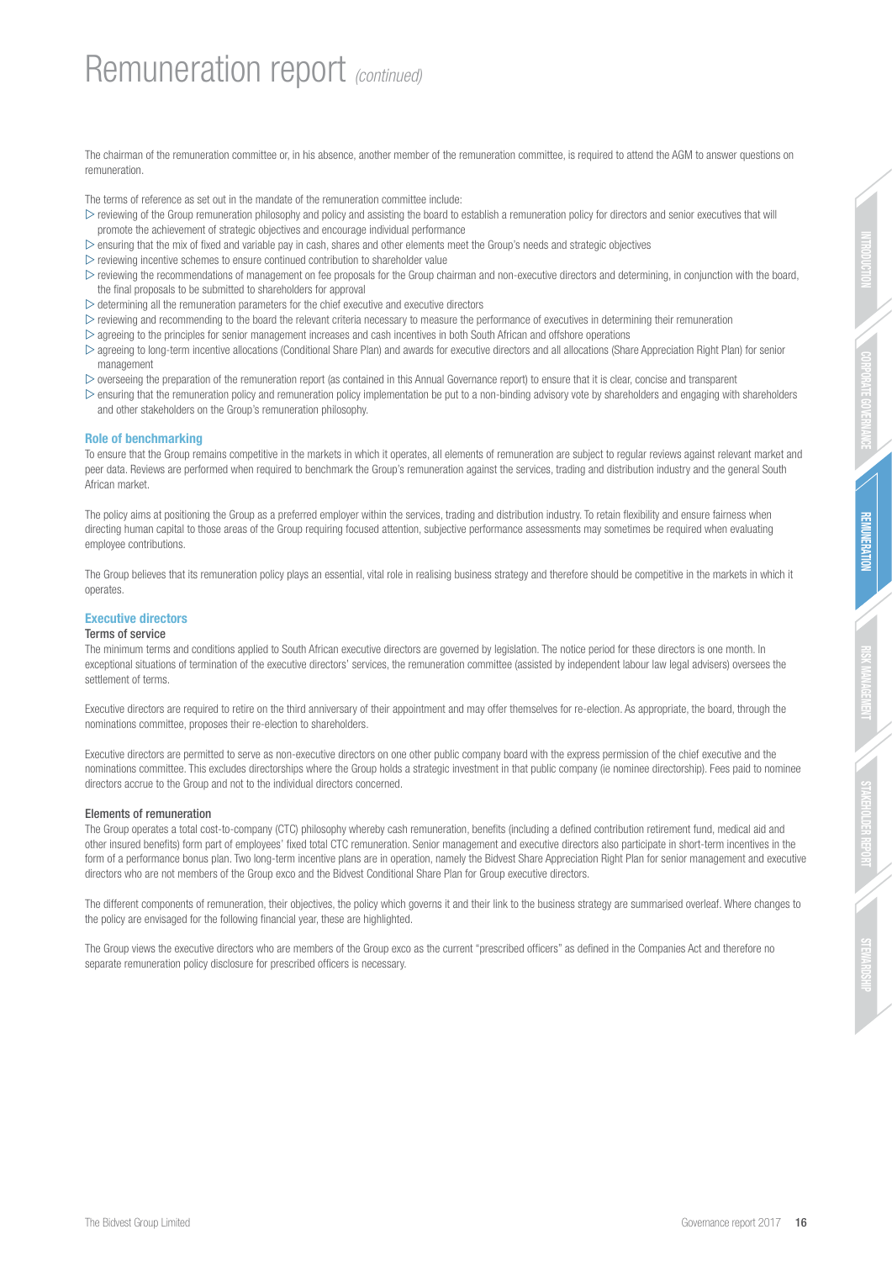STAKEHOLDER REPORT

The chairman of the remuneration committee or, in his absence, another member of the remuneration committee, is required to attend the AGM to answer questions on remuneration.

The terms of reference as set out in the mandate of the remuneration committee include:

- $\triangleright$  reviewing of the Group remuneration philosophy and policy and assisting the board to establish a remuneration policy for directors and senior executives that will promote the achievement of strategic objectives and encourage individual performance
- $\triangleright$  ensuring that the mix of fixed and variable pay in cash, shares and other elements meet the Group's needs and strategic objectives
- $\triangleright$  reviewing incentive schemes to ensure continued contribution to shareholder value
- $\triangleright$  reviewing the recommendations of management on fee proposals for the Group chairman and non-executive directors and determining, in conjunction with the board, the final proposals to be submitted to shareholders for approval
- $\triangleright$  determining all the remuneration parameters for the chief executive and executive directors
- $\triangleright$  reviewing and recommending to the board the relevant criteria necessary to measure the performance of executives in determining their remuneration
- $\triangleright$  agreeing to the principles for senior management increases and cash incentives in both South African and offshore operations
- $\triangleright$  agreeing to long-term incentive allocations (Conditional Share Plan) and awards for executive directors and all allocations (Share Appreciation Right Plan) for senior management
- $\triangleright$  overseeing the preparation of the remuneration report (as contained in this Annual Governance report) to ensure that it is clear, concise and transparent
- $\triangleright$  ensuring that the remuneration policy and remuneration policy implementation be put to a non-binding advisory vote by shareholders and engaging with shareholders and other stakeholders on the Group's remuneration philosophy.

## Role of benchmarking

To ensure that the Group remains competitive in the markets in which it operates, all elements of remuneration are subject to regular reviews against relevant market and peer data. Reviews are performed when required to benchmark the Group's remuneration against the services, trading and distribution industry and the general South African market.

The policy aims at positioning the Group as a preferred employer within the services, trading and distribution industry. To retain flexibility and ensure fairness when directing human capital to those areas of the Group requiring focused attention, subjective performance assessments may sometimes be required when evaluating employee contributions.

The Group believes that its remuneration policy plays an essential, vital role in realising business strategy and therefore should be competitive in the markets in which it operates.

## Executive directors

## Terms of service

The minimum terms and conditions applied to South African executive directors are governed by legislation. The notice period for these directors is one month. In exceptional situations of termination of the executive directors' services, the remuneration committee (assisted by independent labour law legal advisers) oversees the settlement of terms.

Executive directors are required to retire on the third anniversary of their appointment and may offer themselves for re-election. As appropriate, the board, through the nominations committee, proposes their re-election to shareholders.

Executive directors are permitted to serve as non-executive directors on one other public company board with the express permission of the chief executive and the nominations committee. This excludes directorships where the Group holds a strategic investment in that public company (ie nominee directorship). Fees paid to nominee directors accrue to the Group and not to the individual directors concerned.

## Elements of remuneration

The Group operates a total cost-to-company (CTC) philosophy whereby cash remuneration, benefits (including a defined contribution retirement fund, medical aid and other insured benefits) form part of employees' fixed total CTC remuneration. Senior management and executive directors also participate in short-term incentives in the form of a performance bonus plan. Two long-term incentive plans are in operation, namely the Bidvest Share Appreciation Right Plan for senior management and executive directors who are not members of the Group exco and the Bidvest Conditional Share Plan for Group executive directors.

The different components of remuneration, their objectives, the policy which governs it and their link to the business strategy are summarised overleaf. Where changes to the policy are envisaged for the following financial year, these are highlighted.

The Group views the executive directors who are members of the Group exco as the current "prescribed officers" as defined in the Companies Act and therefore no separate remuneration policy disclosure for prescribed officers is necessary.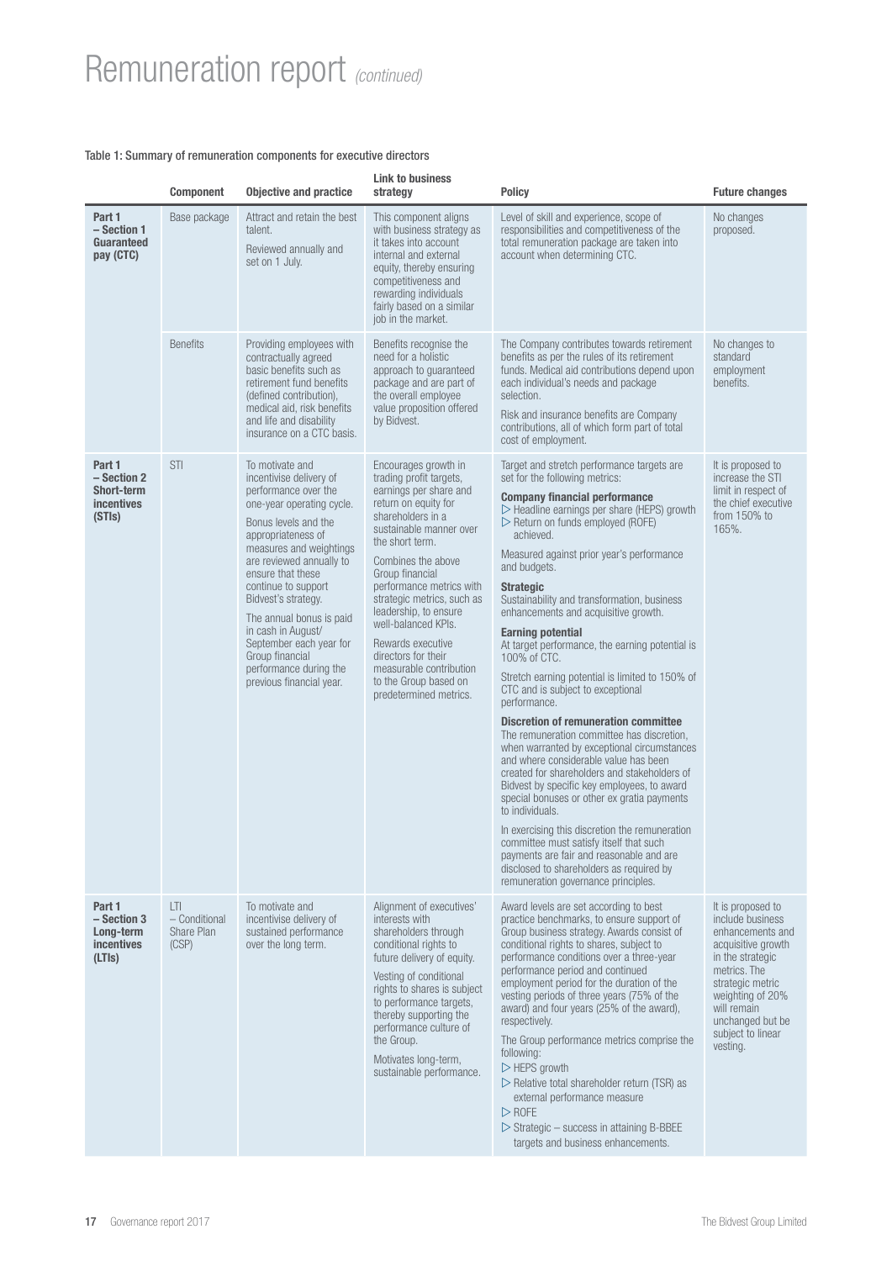# Remuneration report *(continued)*

## Table 1: Summary of remuneration components for executive directors

|                                                                     | <b>Component</b>                                                                                  | <b>Objective and practice</b>                                                                                                                                                                                                                                                                                                                                                                                                 | <b>Link to business</b><br>strategy                                                                                                                                                                                                                                                                                                                                                                                                               | <b>Policy</b>                                                                                                                                                                                                                                                                                                                                                                                                                                                                                                                                                                                                                                                                                                                                                                                                                                                                                                                                                                                                                                                                                                                                                                                         | <b>Future changes</b>                                                                                                                                                                                                           |
|---------------------------------------------------------------------|---------------------------------------------------------------------------------------------------|-------------------------------------------------------------------------------------------------------------------------------------------------------------------------------------------------------------------------------------------------------------------------------------------------------------------------------------------------------------------------------------------------------------------------------|---------------------------------------------------------------------------------------------------------------------------------------------------------------------------------------------------------------------------------------------------------------------------------------------------------------------------------------------------------------------------------------------------------------------------------------------------|-------------------------------------------------------------------------------------------------------------------------------------------------------------------------------------------------------------------------------------------------------------------------------------------------------------------------------------------------------------------------------------------------------------------------------------------------------------------------------------------------------------------------------------------------------------------------------------------------------------------------------------------------------------------------------------------------------------------------------------------------------------------------------------------------------------------------------------------------------------------------------------------------------------------------------------------------------------------------------------------------------------------------------------------------------------------------------------------------------------------------------------------------------------------------------------------------------|---------------------------------------------------------------------------------------------------------------------------------------------------------------------------------------------------------------------------------|
| Part 1<br>$-$ Section 1<br>Guaranteed<br>pay (CTC)                  | Base package<br>Attract and retain the best<br>talent.<br>Reviewed annually and<br>set on 1 July. |                                                                                                                                                                                                                                                                                                                                                                                                                               | This component aligns<br>with business strategy as<br>it takes into account<br>internal and external<br>equity, thereby ensuring<br>competitiveness and<br>rewarding individuals<br>fairly based on a similar<br>job in the market.                                                                                                                                                                                                               | Level of skill and experience, scope of<br>responsibilities and competitiveness of the<br>total remuneration package are taken into<br>account when determining CTC.                                                                                                                                                                                                                                                                                                                                                                                                                                                                                                                                                                                                                                                                                                                                                                                                                                                                                                                                                                                                                                  | No changes<br>proposed.                                                                                                                                                                                                         |
|                                                                     | <b>Benefits</b>                                                                                   | Providing employees with<br>contractually agreed<br>basic benefits such as<br>retirement fund benefits<br>(defined contribution),<br>medical aid, risk benefits<br>and life and disability<br>insurance on a CTC basis.                                                                                                                                                                                                       | Benefits recognise the<br>need for a holistic<br>approach to quaranteed<br>package and are part of<br>the overall employee<br>value proposition offered<br>by Bidvest.                                                                                                                                                                                                                                                                            | The Company contributes towards retirement<br>benefits as per the rules of its retirement<br>funds. Medical aid contributions depend upon<br>each individual's needs and package<br>selection.<br>Risk and insurance benefits are Company<br>contributions, all of which form part of total<br>cost of employment.                                                                                                                                                                                                                                                                                                                                                                                                                                                                                                                                                                                                                                                                                                                                                                                                                                                                                    | No changes to<br>standard<br>employment<br>benefits.                                                                                                                                                                            |
| Part 1<br>- Section 2<br>Short-term<br><i>incentives</i><br>(STIs)  | <b>STI</b>                                                                                        | To motivate and<br>incentivise delivery of<br>performance over the<br>one-year operating cycle.<br>Bonus levels and the<br>appropriateness of<br>measures and weightings<br>are reviewed annually to<br>ensure that these<br>continue to support<br>Bidvest's strategy.<br>The annual bonus is paid<br>in cash in August/<br>September each year for<br>Group financial<br>performance during the<br>previous financial year. | Encourages growth in<br>trading profit targets,<br>earnings per share and<br>return on equity for<br>shareholders in a<br>sustainable manner over<br>the short term.<br>Combines the above<br>Group financial<br>performance metrics with<br>strategic metrics, such as<br>leadership, to ensure<br>well-balanced KPIs.<br>Rewards executive<br>directors for their<br>measurable contribution<br>to the Group based on<br>predetermined metrics. | Target and stretch performance targets are<br>set for the following metrics:<br><b>Company financial performance</b><br>$\triangleright$ Headline earnings per share (HEPS) growth<br>▷ Return on funds employed (ROFE)<br>achieved.<br>Measured against prior year's performance<br>and budgets.<br><b>Strategic</b><br>Sustainability and transformation, business<br>enhancements and acquisitive growth.<br><b>Earning potential</b><br>At target performance, the earning potential is<br>100% of CTC.<br>Stretch earning potential is limited to 150% of<br>CTC and is subject to exceptional<br>performance.<br><b>Discretion of remuneration committee</b><br>The remuneration committee has discretion,<br>when warranted by exceptional circumstances<br>and where considerable value has been<br>created for shareholders and stakeholders of<br>Bidvest by specific key employees, to award<br>special bonuses or other ex gratia payments<br>to individuals.<br>In exercising this discretion the remuneration<br>committee must satisfy itself that such<br>payments are fair and reasonable and are<br>disclosed to shareholders as required by<br>remuneration governance principles. | It is proposed to<br>increase the STI<br>limit in respect of<br>the chief executive<br>from 150% to<br>165%.                                                                                                                    |
| Part 1<br>$-$ Section 3<br>Long-term<br><b>incentives</b><br>(LTIs) | LTI.<br>- Conditional<br>Share Plan<br>(CSP)                                                      | To motivate and<br>incentivise delivery of<br>sustained performance<br>over the long term.                                                                                                                                                                                                                                                                                                                                    | Alignment of executives'<br>interests with<br>shareholders through<br>conditional rights to<br>future delivery of equity.<br>Vesting of conditional<br>rights to shares is subject<br>to performance targets,<br>thereby supporting the<br>performance culture of<br>the Group.<br>Motivates long-term,<br>sustainable performance.                                                                                                               | Award levels are set according to best<br>practice benchmarks, to ensure support of<br>Group business strategy. Awards consist of<br>conditional rights to shares, subject to<br>performance conditions over a three-year<br>performance period and continued<br>employment period for the duration of the<br>vesting periods of three years (75% of the<br>award) and four years (25% of the award),<br>respectively.<br>The Group performance metrics comprise the<br>following:<br>$\triangleright$ HEPS growth<br>$\triangleright$ Relative total shareholder return (TSR) as<br>external performance measure<br>$\triangleright$ ROFE<br>$\triangleright$ Strategic – success in attaining B-BBEE<br>targets and business enhancements.                                                                                                                                                                                                                                                                                                                                                                                                                                                          | It is proposed to<br>include business<br>enhancements and<br>acquisitive growth<br>in the strategic<br>metrics. The<br>strategic metric<br>weighting of 20%<br>will remain<br>unchanged but be<br>subject to linear<br>vesting. |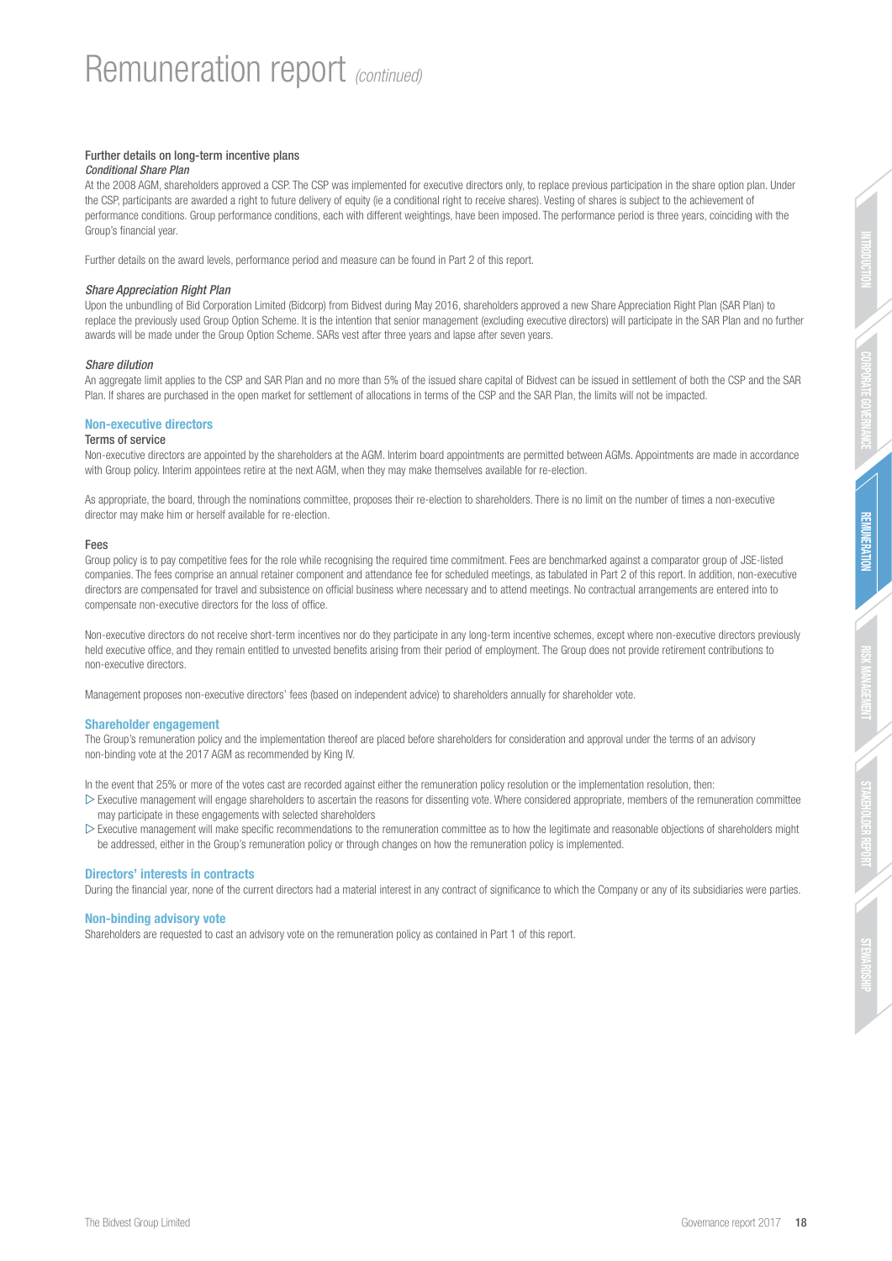## Further details on long-term incentive plans

#### *Conditional Share Plan*

At the 2008 AGM, shareholders approved a CSP. The CSP was implemented for executive directors only, to replace previous participation in the share option plan. Under the CSP, participants are awarded a right to future delivery of equity (ie a conditional right to receive shares). Vesting of shares is subject to the achievement of performance conditions. Group performance conditions, each with different weightings, have been imposed. The performance period is three years, coinciding with the Group's financial year.

Further details on the award levels, performance period and measure can be found in Part 2 of this report.

## *Share Appreciation Right Plan*

Upon the unbundling of Bid Corporation Limited (Bidcorp) from Bidvest during May 2016, shareholders approved a new Share Appreciation Right Plan (SAR Plan) to replace the previously used Group Option Scheme. It is the intention that senior management (excluding executive directors) will participate in the SAR Plan and no further awards will be made under the Group Option Scheme. SARs vest after three years and lapse after seven years.

#### *Share dilution*

An aggregate limit applies to the CSP and SAR Plan and no more than 5% of the issued share capital of Bidvest can be issued in settlement of both the CSP and the SAR Plan. If shares are purchased in the open market for settlement of allocations in terms of the CSP and the SAR Plan, the limits will not be impacted.

#### Non-executive directors

#### Terms of service

Non-executive directors are appointed by the shareholders at the AGM. Interim board appointments are permitted between AGMs. Appointments are made in accordance with Group policy. Interim appointees retire at the next AGM, when they may make themselves available for re-election.

As appropriate, the board, through the nominations committee, proposes their re-election to shareholders. There is no limit on the number of times a non-executive director may make him or herself available for re-election.

#### Fees

Group policy is to pay competitive fees for the role while recognising the required time commitment. Fees are benchmarked against a comparator group of JSE-listed companies. The fees comprise an annual retainer component and attendance fee for scheduled meetings, as tabulated in Part 2 of this report. In addition, non-executive directors are compensated for travel and subsistence on official business where necessary and to attend meetings. No contractual arrangements are entered into to compensate non-executive directors for the loss of office.

Non-executive directors do not receive short-term incentives nor do they participate in any long-term incentive schemes, except where non-executive directors previously held executive office, and they remain entitled to unvested benefits arising from their period of employment. The Group does not provide retirement contributions to non-executive directors.

Management proposes non-executive directors' fees (based on independent advice) to shareholders annually for shareholder vote.

#### Shareholder engagement

The Group's remuneration policy and the implementation thereof are placed before shareholders for consideration and approval under the terms of an advisory non-binding vote at the 2017 AGM as recommended by King IV.

In the event that 25% or more of the votes cast are recorded against either the remuneration policy resolution or the implementation resolution, then:

- $\triangleright$  Executive management will engage shareholders to ascertain the reasons for dissenting vote. Where considered appropriate, members of the remuneration committee may participate in these engagements with selected shareholders
- $\triangleright$  Executive management will make specific recommendations to the remuneration committee as to how the legitimate and reasonable objections of shareholders might be addressed, either in the Group's remuneration policy or through changes on how the remuneration policy is implemented.

#### Directors' interests in contracts

During the financial year, none of the current directors had a material interest in any contract of significance to which the Company or any of its subsidiaries were parties.

#### Non-binding advisory vote

Shareholders are requested to cast an advisory vote on the remuneration policy as contained in Part 1 of this report.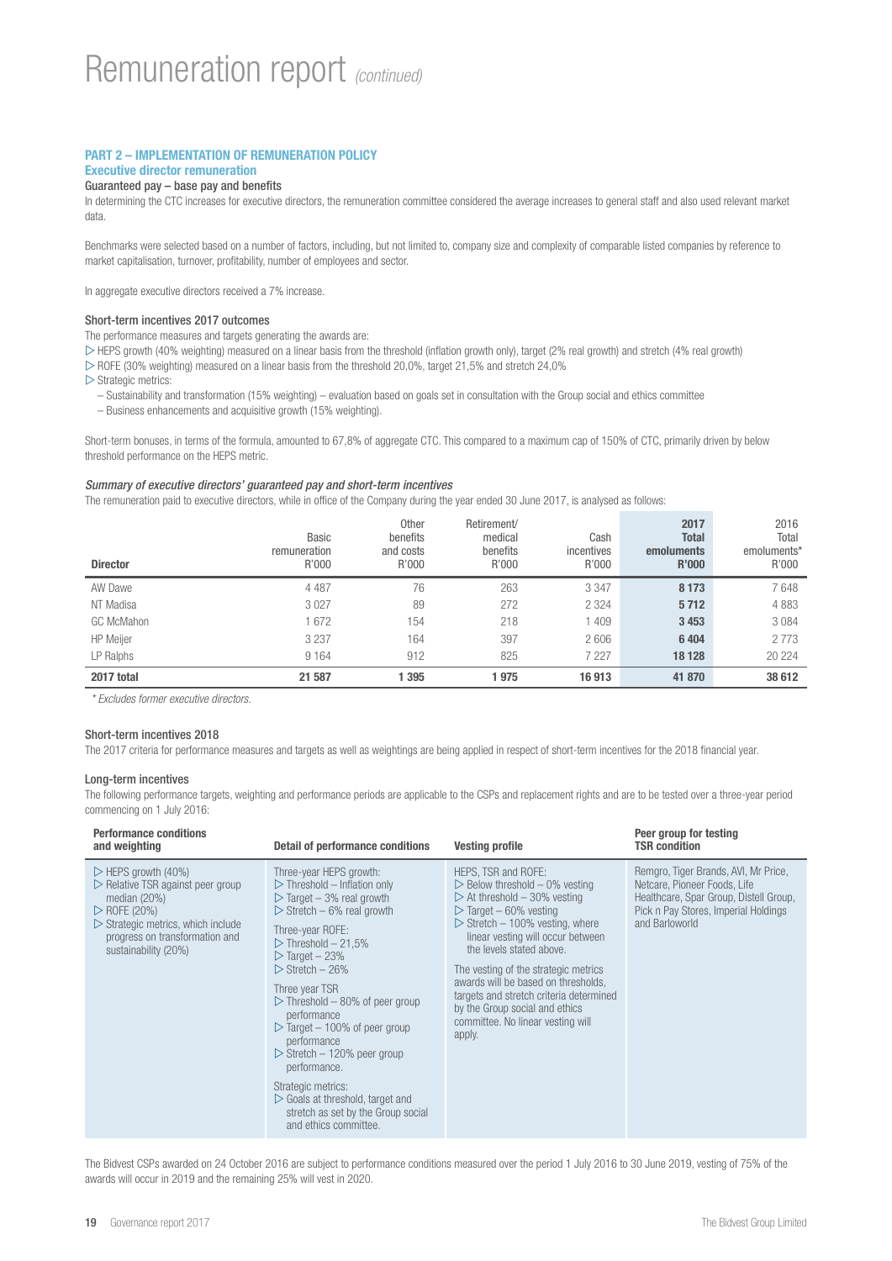## PART 2 – IMPLEMENTATION OF REMUNERATION POLICY Executive director remuneration

## Guaranteed pay – base pay and benefits

In determining the CTC increases for executive directors, the remuneration committee considered the average increases to general staff and also used relevant market data.

Benchmarks were selected based on a number of factors, including, but not limited to, company size and complexity of comparable listed companies by reference to market capitalisation, turnover, profitability, number of employees and sector.

In aggregate executive directors received a 7% increase.

## Short-term incentives 2017 outcomes

The performance measures and targets generating the awards are:

 $\triangleright$  HEPS growth (40% weighting) measured on a linear basis from the threshold (inflation growth only), target (2% real growth) and stretch (4% real growth)

 $\triangleright$  ROFE (30% weighting) measured on a linear basis from the threshold 20,0%, target 21,5% and stretch 24,0%

 $\triangleright$  Strategic metrics:

- Sustainability and transformation (15% weighting) evaluation based on goals set in consultation with the Group social and ethics committee
- Business enhancements and acquisitive growth (15% weighting).

Short-term bonuses, in terms of the formula, amounted to 67,8% of aggregate CTC. This compared to a maximum cap of 150% of CTC, primarily driven by below threshold performance on the HEPS metric.

## *Summary of executive directors' guaranteed pay and short-term incentives*

The remuneration paid to executive directors, while in office of the Company during the year ended 30 June 2017, is analysed as follows:

| <b>Director</b>   | <b>Basic</b><br>remuneration<br>R'000 | <b>Other</b><br>benefits<br>and costs<br>R'000 | Retirement/<br>medical<br>benefits<br>R'000 | Cash<br>incentives<br>R'000 | 2017<br><b>Total</b><br><b>emoluments</b><br><b>R'000</b> | 2016<br>Total<br>emoluments*<br>R'000 |
|-------------------|---------------------------------------|------------------------------------------------|---------------------------------------------|-----------------------------|-----------------------------------------------------------|---------------------------------------|
| AW Dawe           | 4 4 8 7                               | 76                                             | 263                                         | 3 3 4 7                     | 8 1 7 3                                                   | 7648                                  |
| NT Madisa         | 3 0 2 7                               | 89                                             | 272                                         | 2 3 2 4                     | 5712                                                      | 4883                                  |
| <b>GC McMahon</b> | 1672                                  | 154                                            | 218                                         | 1 409                       | 3 4 5 3                                                   | 3084                                  |
| <b>HP</b> Meijer  | 3 2 3 7                               | 164                                            | 397                                         | 2606                        | 6404                                                      | 2 7 7 3                               |
| LP Ralphs         | 9 1 6 4                               | 912                                            | 825                                         | 7 2 2 7                     | 18 128                                                    | 20 224                                |
| 2017 total        | 21 587                                | 1 3 9 5                                        | 975                                         | 16913                       | 41 870                                                    | 38 612                                |

*\* Excludes former executive directors.*

## Short-term incentives 2018

The 2017 criteria for performance measures and targets as well as weightings are being applied in respect of short-term incentives for the 2018 financial year.

## Long-term incentives

The following performance targets, weighting and performance periods are applicable to the CSPs and replacement rights and are to be tested over a three-year period commencing on 1 July 2016:

| <b>Performance conditions</b><br>and weighting                                                                                                                                                                                                         | Detail of performance conditions                                                                                                                                                                                                                                                                                                                                                                                                                                                                                                                                                                                                                     | <b>Vesting profile</b>                                                                                                                                                                                                                                                                                                                                                                                                                                                                       | Peer group for testing<br><b>TSR condition</b>                                                                                                                           |
|--------------------------------------------------------------------------------------------------------------------------------------------------------------------------------------------------------------------------------------------------------|------------------------------------------------------------------------------------------------------------------------------------------------------------------------------------------------------------------------------------------------------------------------------------------------------------------------------------------------------------------------------------------------------------------------------------------------------------------------------------------------------------------------------------------------------------------------------------------------------------------------------------------------------|----------------------------------------------------------------------------------------------------------------------------------------------------------------------------------------------------------------------------------------------------------------------------------------------------------------------------------------------------------------------------------------------------------------------------------------------------------------------------------------------|--------------------------------------------------------------------------------------------------------------------------------------------------------------------------|
| $\triangleright$ HEPS growth (40%)<br>$\triangleright$ Relative TSR against peer group<br>median $(20%)$<br>$\triangleright$ ROFE (20%)<br>$\triangleright$ Strategic metrics, which include<br>progress on transformation and<br>sustainability (20%) | Three-year HEPS growth:<br>$\triangleright$ Threshold – Inflation only<br>$\triangleright$ Target - 3% real growth<br>$\triangleright$ Stretch – 6% real growth<br>Three-year ROFE:<br>$\triangleright$ Threshold - 21,5%<br>$\triangleright$ Target - 23%<br>$\triangleright$ Stretch – 26%<br>Three year TSR<br>$\triangleright$ Threshold – 80% of peer group<br>performance<br>$\triangleright$ Target – 100% of peer group<br>performance<br>$\triangleright$ Stretch – 120% peer group<br>performance.<br>Strategic metrics:<br>$\triangleright$ Goals at threshold, target and<br>stretch as set by the Group social<br>and ethics committee. | HEPS, TSR and ROFE:<br>$\triangleright$ Below threshold $-0\%$ vesting<br>$\triangleright$ At threshold - 30% vesting<br>$\triangleright$ Target – 60% vesting<br>$\triangleright$ Stretch - 100% vesting, where<br>linear vesting will occur between<br>the levels stated above.<br>The vesting of the strategic metrics<br>awards will be based on thresholds,<br>targets and stretch criteria determined<br>by the Group social and ethics<br>committee. No linear vesting will<br>apply. | Remgro, Tiger Brands, AVI, Mr Price,<br>Netcare, Pioneer Foods, Life<br>Healthcare, Spar Group, Distell Group,<br>Pick n Pay Stores, Imperial Holdings<br>and Barloworld |

The Bidvest CSPs awarded on 24 October 2016 are subject to performance conditions measured over the period 1 July 2016 to 30 June 2019, vesting of 75% of the awards will occur in 2019 and the remaining 25% will vest in 2020.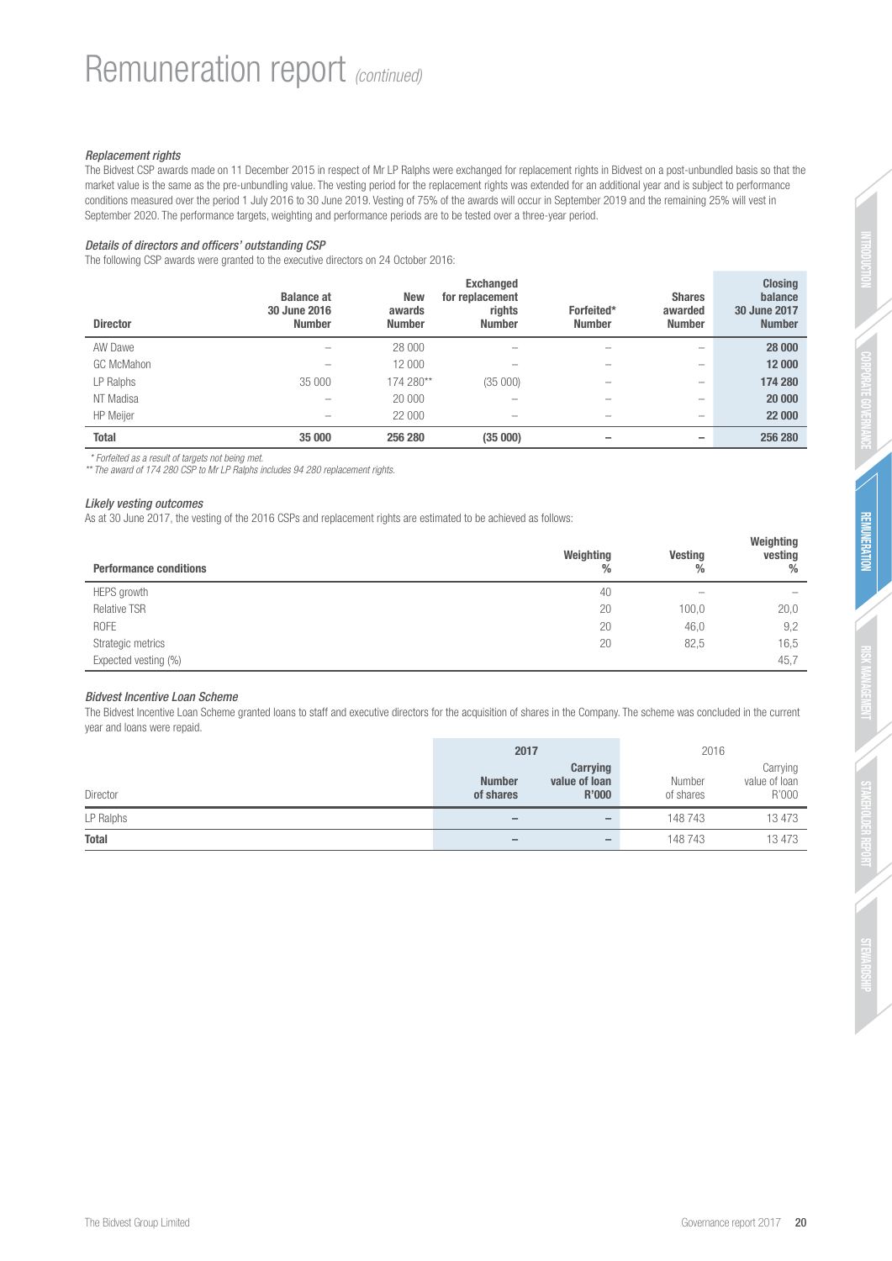## *Replacement rights*

The Bidvest CSP awards made on 11 December 2015 in respect of Mr LP Ralphs were exchanged for replacement rights in Bidvest on a post-unbundled basis so that the market value is the same as the pre-unbundling value. The vesting period for the replacement rights was extended for an additional year and is subject to performance conditions measured over the period 1 July 2016 to 30 June 2019. Vesting of 75% of the awards will occur in September 2019 and the remaining 25% will vest in September 2020. The performance targets, weighting and performance periods are to be tested over a three-year period.

## *Details of directors and officers' outstanding CSP*

The following CSP awards were granted to the executive directors on 24 October 2016:

| <b>Director</b>   | <b>Balance at</b><br>30 June 2016<br><b>Number</b> | <b>New</b><br>awards<br><b>Number</b> | <b>Exchanged</b><br>for replacement<br>rights<br><b>Number</b> | Forfeited*<br><b>Number</b> | <b>Shares</b><br>awarded<br><b>Number</b> | <b>Closing</b><br>balance<br>30 June 2017<br><b>Number</b> |
|-------------------|----------------------------------------------------|---------------------------------------|----------------------------------------------------------------|-----------------------------|-------------------------------------------|------------------------------------------------------------|
| AW Dawe           | $\overline{\phantom{a}}$                           | 28 000                                | $\overline{\phantom{a}}$                                       |                             | $\overline{\phantom{a}}$                  | 28 000                                                     |
| <b>GC McMahon</b> | $\overline{\phantom{a}}$                           | 12 000                                |                                                                | -                           | $\overline{\phantom{a}}$                  | 12 000                                                     |
| LP Ralphs         | 35 000                                             | 174 280**                             | (35000)                                                        | -                           | $\overline{\phantom{a}}$                  | 174 280                                                    |
| NT Madisa         | $\overline{\phantom{a}}$                           | 20 000                                | $\overline{\phantom{a}}$                                       | -                           | $\overline{\phantom{a}}$                  | 20 000                                                     |
| <b>HP</b> Meijer  | $\overline{\phantom{a}}$                           | 22 000                                | $\overline{\phantom{a}}$                                       | -                           | $\overline{\phantom{a}}$                  | 22 000                                                     |
| <b>Total</b>      | 35 000                                             | 256 280                               | (35000)                                                        |                             |                                           | 256 280                                                    |

 *\* Forfeited as a result of targets not being met.* 

*\*\* The award of 174 280 CSP to Mr LP Ralphs includes 94 280 replacement rights.*

## *Likely vesting outcomes*

As at 30 June 2017, the vesting of the 2016 CSPs and replacement rights are estimated to be achieved as follows:

| <b>Performance conditions</b> | Weighting<br>$\frac{0}{0}$ | Vesting<br>% | Weighting<br>vesting<br>% |
|-------------------------------|----------------------------|--------------|---------------------------|
| HEPS growth                   | 40                         | -            | $\overline{\phantom{a}}$  |
| <b>Relative TSR</b>           | 20                         | 100,0        | 20,0                      |
| <b>ROFE</b>                   | 20                         | 46,0         | 9,2                       |
| Strategic metrics             | 20                         | 82,5         | 16,5                      |
| Expected vesting (%)          |                            |              | 45,7                      |

## *Bidvest Incentive Loan Scheme*

The Bidvest Incentive Loan Scheme granted loans to staff and executive directors for the acquisition of shares in the Company. The scheme was concluded in the current year and loans were repaid.

|              | 2017                         |                                    | 2016                |                                    |
|--------------|------------------------------|------------------------------------|---------------------|------------------------------------|
| Director     | <b>Number</b><br>of shares   | Carrying<br>value of loan<br>R'000 | Number<br>of shares | Carrying<br>value of loan<br>R'000 |
| LP Ralphs    | $\qquad \qquad \blacksquare$ |                                    | 148 743             | 13 473                             |
| <b>Total</b> | $\overline{\phantom{m}}$     | $\qquad \qquad \blacksquare$       | 148743              | 13 473                             |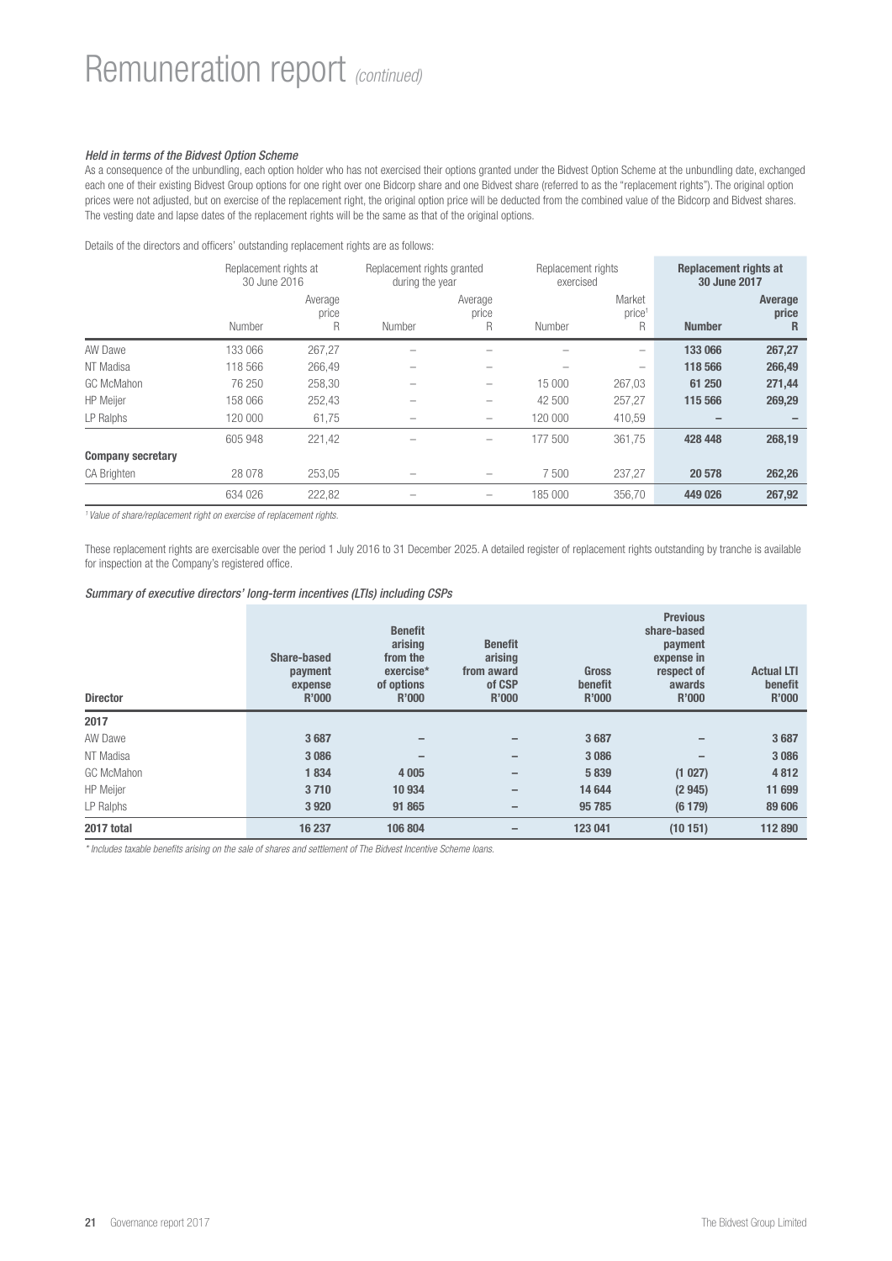# Remuneration report *(continued)*

## *Held in terms of the Bidvest Option Scheme*

As a consequence of the unbundling, each option holder who has not exercised their options granted under the Bidvest Option Scheme at the unbundling date, exchanged each one of their existing Bidvest Group options for one right over one Bidcorp share and one Bidvest share (referred to as the "replacement rights"). The original option prices were not adjusted, but on exercise of the replacement right, the original option price will be deducted from the combined value of the Bidcorp and Bidvest shares. The vesting date and lapse dates of the replacement rights will be the same as that of the original options.

Details of the directors and officers' outstanding replacement rights are as follows:

|                          | Replacement rights at<br>30 June 2016 |                       | Replacement rights granted<br>during the year |                       | Replacement rights<br>exercised |                                   | Replacement rights at<br>30 June 2017 |                       |
|--------------------------|---------------------------------------|-----------------------|-----------------------------------------------|-----------------------|---------------------------------|-----------------------------------|---------------------------------------|-----------------------|
|                          | Number                                | Average<br>price<br>R | Number                                        | Average<br>price<br>R | Number                          | Market<br>price <sup>1</sup><br>R | <b>Number</b>                         | Average<br>price<br>R |
| AW Dawe                  | 133 066                               | 267,27                | -                                             | -                     |                                 | $\overline{\phantom{0}}$          | 133 066                               | 267,27                |
| NT Madisa                | 118 566                               | 266,49                | -                                             | -                     |                                 | $\overline{\phantom{0}}$          | 118 566                               | 266,49                |
| GC McMahon               | 76 250                                | 258.30                | -                                             | -                     | 15 000                          | 267,03                            | 61 250                                | 271,44                |
| <b>HP</b> Meijer         | 158 066                               | 252,43                |                                               | -                     | 42 500                          | 257.27                            | 115 566                               | 269,29                |
| LP Ralphs                | 120 000                               | 61,75                 |                                               | -                     | 120 000                         | 410,59                            |                                       |                       |
|                          | 605 948                               | 221,42                | -                                             | -                     | 177 500                         | 361.75                            | 428 448                               | 268,19                |
| <b>Company secretary</b> |                                       |                       |                                               |                       |                                 |                                   |                                       |                       |
| <b>CA Brighten</b>       | 28 0 78                               | 253,05                |                                               |                       | 7500                            | 237,27                            | 20 578                                | 262,26                |
|                          | 634 026                               | 222,82                |                                               | -                     | 185 000                         | 356.70                            | 449 026                               | 267,92                |

*1 Value of share/replacement right on exercise of replacement rights.*

These replacement rights are exercisable over the period 1 July 2016 to 31 December 2025. A detailed register of replacement rights outstanding by tranche is available for inspection at the Company's registered office.

## *Summary of executive directors' long-term incentives (LTIs) including CSPs*

| <b>Director</b>   | <b>Share-based</b><br>payment<br>expense<br><b>R'000</b> | <b>Benefit</b><br>arising<br>from the<br>exercise*<br>of options<br><b>R'000</b> | <b>Benefit</b><br>arising<br>from award<br>of CSP<br>R'000 | <b>Gross</b><br>benefit<br><b>R'000</b> | <b>Previous</b><br>share-based<br>payment<br>expense in<br>respect of<br>awards<br>R'000 | <b>Actual LTI</b><br>benefit<br>R'000 |
|-------------------|----------------------------------------------------------|----------------------------------------------------------------------------------|------------------------------------------------------------|-----------------------------------------|------------------------------------------------------------------------------------------|---------------------------------------|
| 2017              |                                                          |                                                                                  |                                                            |                                         |                                                                                          |                                       |
| AW Dawe           | 3687                                                     | -                                                                                |                                                            | 3687                                    |                                                                                          | 3687                                  |
| NT Madisa         | 3 0 8 6                                                  | -                                                                                |                                                            | 3 0 8 6                                 | $\overline{\phantom{0}}$                                                                 | 3 0 8 6                               |
| <b>GC McMahon</b> | 1834                                                     | 4 0 0 5                                                                          | -                                                          | 5839                                    | (1027)                                                                                   | 4812                                  |
| <b>HP</b> Meijer  | 3710                                                     | 10 934                                                                           | -                                                          | 14 644                                  | (2945)                                                                                   | 11 699                                |
| LP Ralphs         | 3920                                                     | 91 865                                                                           | -                                                          | 95 785                                  | (6179)                                                                                   | 89 606                                |
| 2017 total        | 16 237                                                   | 106 804                                                                          | -                                                          | 123 041                                 | (10151)                                                                                  | 112 890                               |

*\* Includes taxable benefits arising on the sale of shares and settlement of The Bidvest Incentive Scheme loans.*